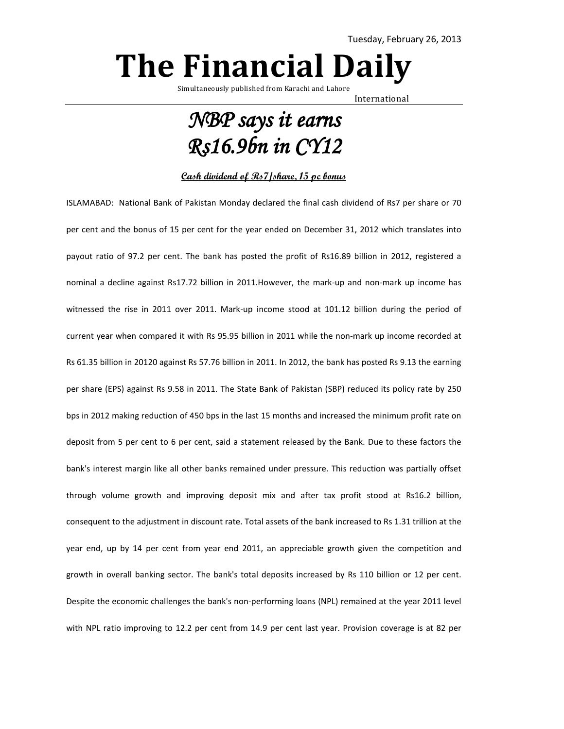## **The Financial Daily**

Simultaneously published from Karachi and Lahore

International

## *NBP says it earns Rs16.9bn in CY12*

## **Cash dividend of Rs7/share, 15 pc bonus**

ISLAMABAD: National Bank of Pakistan Monday declared the final cash dividend of Rs7 per share or 70 per cent and the bonus of 15 per cent for the year ended on December 31, 2012 which translates into payout ratio of 97.2 per cent. The bank has posted the profit of Rs16.89 billion in 2012, registered a nominal a decline against Rs17.72 billion in 2011.However, the mark-up and non-mark up income has witnessed the rise in 2011 over 2011. Mark-up income stood at 101.12 billion during the period of current year when compared it with Rs 95.95 billion in 2011 while the non-mark up income recorded at Rs 61.35 billion in 20120 against Rs 57.76 billion in 2011. In 2012, the bank has posted Rs 9.13 the earning per share (EPS) against Rs 9.58 in 2011. The State Bank of Pakistan (SBP) reduced its policy rate by 250 bps in 2012 making reduction of 450 bps in the last 15 months and increased the minimum profit rate on deposit from 5 per cent to 6 per cent, said a statement released by the Bank. Due to these factors the bank's interest margin like all other banks remained under pressure. This reduction was partially offset through volume growth and improving deposit mix and after tax profit stood at Rs16.2 billion, consequent to the adjustment in discount rate. Total assets of the bank increased to Rs 1.31 trillion at the year end, up by 14 per cent from year end 2011, an appreciable growth given the competition and growth in overall banking sector. The bank's total deposits increased by Rs 110 billion or 12 per cent. Despite the economic challenges the bank's non-performing loans (NPL) remained at the year 2011 level with NPL ratio improving to 12.2 per cent from 14.9 per cent last year. Provision coverage is at 82 per